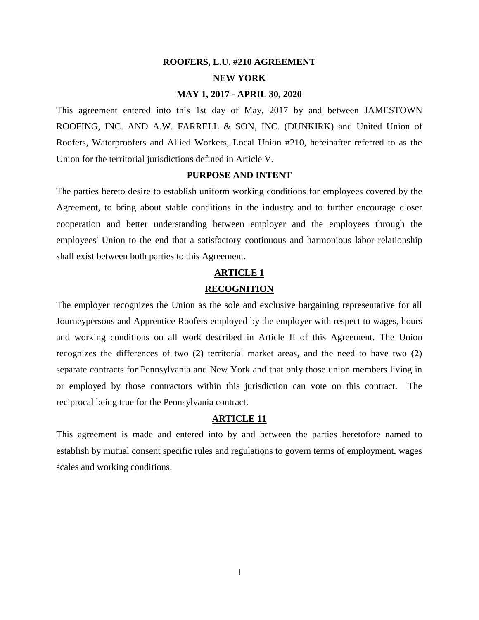# **ROOFERS, L.U. #210 AGREEMENT NEW YORK**

#### **MAY 1, 2017 - APRIL 30, 2020**

This agreement entered into this 1st day of May, 2017 by and between JAMESTOWN ROOFING, INC. AND A.W. FARRELL & SON, INC. (DUNKIRK) and United Union of Roofers, Waterproofers and Allied Workers, Local Union #210, hereinafter referred to as the Union for the territorial jurisdictions defined in Article V.

#### **PURPOSE AND INTENT**

The parties hereto desire to establish uniform working conditions for employees covered by the Agreement, to bring about stable conditions in the industry and to further encourage closer cooperation and better understanding between employer and the employees through the employees' Union to the end that a satisfactory continuous and harmonious labor relationship shall exist between both parties to this Agreement.

### **ARTICLE 1 RECOGNITION**

The employer recognizes the Union as the sole and exclusive bargaining representative for all Journeypersons and Apprentice Roofers employed by the employer with respect to wages, hours and working conditions on all work described in Article II of this Agreement. The Union recognizes the differences of two (2) territorial market areas, and the need to have two (2) separate contracts for Pennsylvania and New York and that only those union members living in or employed by those contractors within this jurisdiction can vote on this contract. The reciprocal being true for the Pennsylvania contract.

#### **ARTICLE 11**

This agreement is made and entered into by and between the parties heretofore named to establish by mutual consent specific rules and regulations to govern terms of employment, wages scales and working conditions.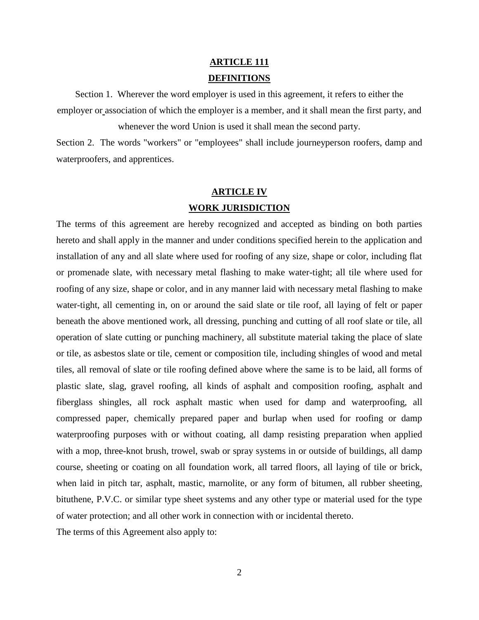### **ARTICLE 111 DEFINITIONS**

Section 1. Wherever the word employer is used in this agreement, it refers to either the employer or association of which the employer is a member, and it shall mean the first party, and whenever the word Union is used it shall mean the second party.

Section 2. The words "workers" or "employees" shall include journeyperson roofers, damp and waterproofers, and apprentices.

### **ARTICLE IV WORK JURISDICTION**

The terms of this agreement are hereby recognized and accepted as binding on both parties hereto and shall apply in the manner and under conditions specified herein to the application and installation of any and all slate where used for roofing of any size, shape or color, including flat or promenade slate, with necessary metal flashing to make water-tight; all tile where used for roofing of any size, shape or color, and in any manner laid with necessary metal flashing to make water-tight, all cementing in, on or around the said slate or tile roof, all laying of felt or paper beneath the above mentioned work, all dressing, punching and cutting of all roof slate or tile, all operation of slate cutting or punching machinery, all substitute material taking the place of slate or tile, as asbestos slate or tile, cement or composition tile, including shingles of wood and metal tiles, all removal of slate or tile roofing defined above where the same is to be laid, all forms of plastic slate, slag, gravel roofing, all kinds of asphalt and composition roofing, asphalt and fiberglass shingles, all rock asphalt mastic when used for damp and waterproofing, all compressed paper, chemically prepared paper and burlap when used for roofing or damp waterproofing purposes with or without coating, all damp resisting preparation when applied with a mop, three-knot brush, trowel, swab or spray systems in or outside of buildings, all damp course, sheeting or coating on all foundation work, all tarred floors, all laying of tile or brick, when laid in pitch tar, asphalt, mastic, marnolite, or any form of bitumen, all rubber sheeting, bituthene, P.V.C. or similar type sheet systems and any other type or material used for the type of water protection; and all other work in connection with or incidental thereto. The terms of this Agreement also apply to: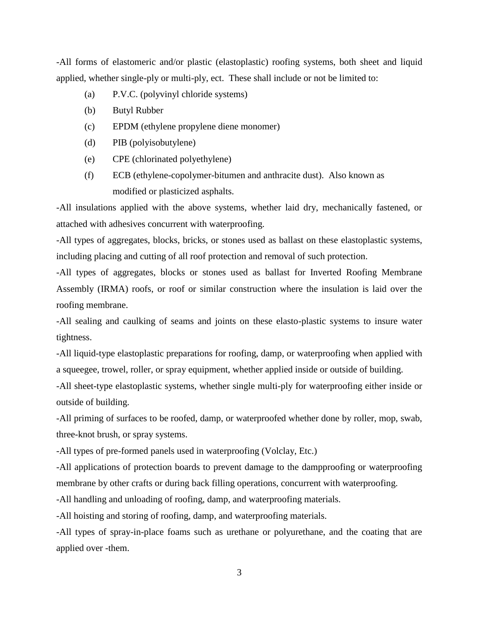-All forms of elastomeric and/or plastic (elastoplastic) roofing systems, both sheet and liquid applied, whether single-ply or multi-ply, ect. These shall include or not be limited to:

- (a) P.V.C. (polyvinyl chloride systems)
- (b) Butyl Rubber
- (c) EPDM (ethylene propylene diene monomer)
- (d) PIB (polyisobutylene)
- (e) CPE (chlorinated polyethylene)
- (f) ECB (ethylene-copolymer-bitumen and anthracite dust). Also known as modified or plasticized asphalts.

-All insulations applied with the above systems, whether laid dry, mechanically fastened, or attached with adhesives concurrent with waterproofing.

-All types of aggregates, blocks, bricks, or stones used as ballast on these elastoplastic systems, including placing and cutting of all roof protection and removal of such protection.

-All types of aggregates, blocks or stones used as ballast for Inverted Roofing Membrane Assembly (IRMA) roofs, or roof or similar construction where the insulation is laid over the roofing membrane.

-All sealing and caulking of seams and joints on these elasto-plastic systems to insure water tightness.

-All liquid-type elastoplastic preparations for roofing, damp, or waterproofing when applied with a squeegee, trowel, roller, or spray equipment, whether applied inside or outside of building.

-All sheet-type elastoplastic systems, whether single multi-ply for waterproofing either inside or outside of building.

-All priming of surfaces to be roofed, damp, or waterproofed whether done by roller, mop, swab, three-knot brush, or spray systems.

-All types of pre-formed panels used in waterproofing (Volclay, Etc.)

-All applications of protection boards to prevent damage to the dampproofing or waterproofing membrane by other crafts or during back filling operations, concurrent with waterproofing.

-All handling and unloading of roofing, damp, and waterproofing materials.

-All hoisting and storing of roofing, damp, and waterproofing materials.

-All types of spray-in-place foams such as urethane or polyurethane, and the coating that are applied over -them.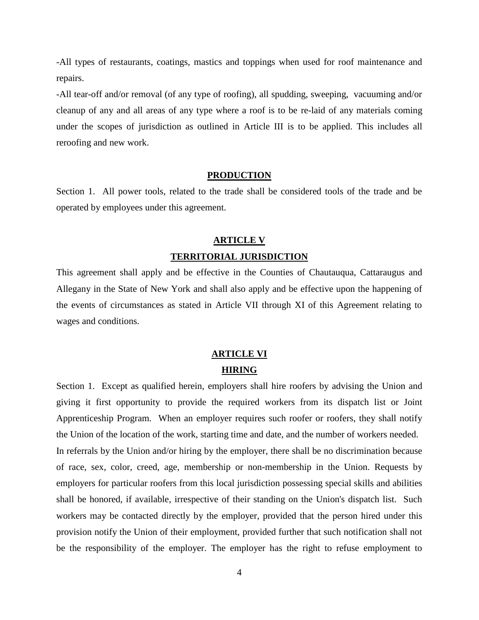-All types of restaurants, coatings, mastics and toppings when used for roof maintenance and repairs.

-All tear-off and/or removal (of any type of roofing), all spudding, sweeping, vacuuming and/or cleanup of any and all areas of any type where a roof is to be re-laid of any materials coming under the scopes of jurisdiction as outlined in Article III is to be applied. This includes all reroofing and new work.

#### **PRODUCTION**

Section 1. All power tools, related to the trade shall be considered tools of the trade and be operated by employees under this agreement.

### **ARTICLE V TERRITORIAL JURISDICTION**

This agreement shall apply and be effective in the Counties of Chautauqua, Cattaraugus and Allegany in the State of New York and shall also apply and be effective upon the happening of the events of circumstances as stated in Article VII through XI of this Agreement relating to wages and conditions.

### **ARTICLE VI HIRING**

Section 1. Except as qualified herein, employers shall hire roofers by advising the Union and giving it first opportunity to provide the required workers from its dispatch list or Joint Apprenticeship Program. When an employer requires such roofer or roofers, they shall notify the Union of the location of the work, starting time and date, and the number of workers needed. In referrals by the Union and/or hiring by the employer, there shall be no discrimination because of race, sex, color, creed, age, membership or non-membership in the Union. Requests by employers for particular roofers from this local jurisdiction possessing special skills and abilities shall be honored, if available, irrespective of their standing on the Union's dispatch list. Such workers may be contacted directly by the employer, provided that the person hired under this provision notify the Union of their employment, provided further that such notification shall not be the responsibility of the employer. The employer has the right to refuse employment to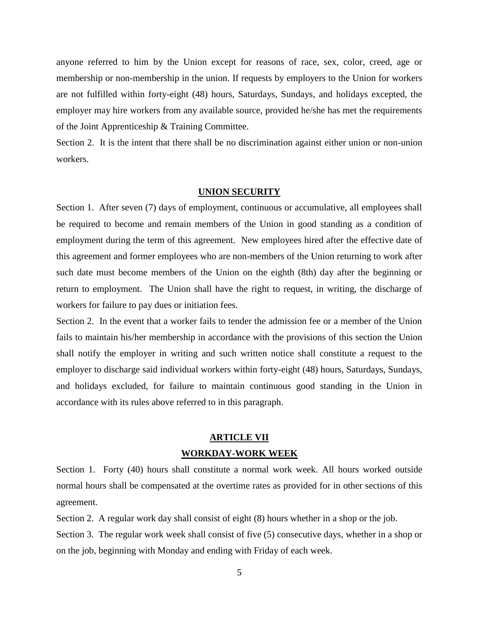anyone referred to him by the Union except for reasons of race, sex, color, creed, age or membership or non-membership in the union. If requests by employers to the Union for workers are not fulfilled within forty-eight (48) hours, Saturdays, Sundays, and holidays excepted, the employer may hire workers from any available source, provided he/she has met the requirements of the Joint Apprenticeship & Training Committee.

Section 2. It is the intent that there shall be no discrimination against either union or non-union workers.

#### **UNION SECURITY**

Section 1. After seven (7) days of employment, continuous or accumulative, all employees shall be required to become and remain members of the Union in good standing as a condition of employment during the term of this agreement. New employees hired after the effective date of this agreement and former employees who are non-members of the Union returning to work after such date must become members of the Union on the eighth (8th) day after the beginning or return to employment. The Union shall have the right to request, in writing, the discharge of workers for failure to pay dues or initiation fees.

Section 2. In the event that a worker fails to tender the admission fee or a member of the Union fails to maintain his/her membership in accordance with the provisions of this section the Union shall notify the employer in writing and such written notice shall constitute a request to the employer to discharge said individual workers within forty-eight (48) hours, Saturdays, Sundays, and holidays excluded, for failure to maintain continuous good standing in the Union in accordance with its rules above referred to in this paragraph.

### **ARTICLE VII WORKDAY-WORK WEEK**

Section 1. Forty (40) hours shall constitute a normal work week. All hours worked outside normal hours shall be compensated at the overtime rates as provided for in other sections of this agreement.

Section 2. A regular work day shall consist of eight (8) hours whether in a shop or the job.

Section 3. The regular work week shall consist of five (5) consecutive days, whether in a shop or on the job, beginning with Monday and ending with Friday of each week.

5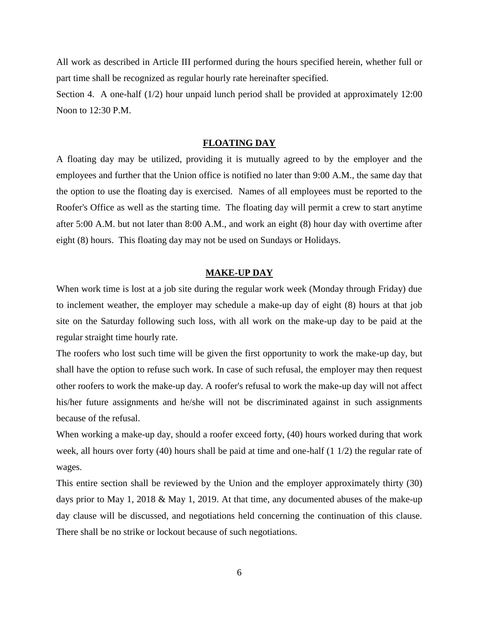All work as described in Article III performed during the hours specified herein, whether full or part time shall be recognized as regular hourly rate hereinafter specified.

Section 4. A one-half (1/2) hour unpaid lunch period shall be provided at approximately 12:00 Noon to 12:30 P.M.

#### **FLOATING DAY**

A floating day may be utilized, providing it is mutually agreed to by the employer and the employees and further that the Union office is notified no later than 9:00 A.M., the same day that the option to use the floating day is exercised. Names of all employees must be reported to the Roofer's Office as well as the starting time. The floating day will permit a crew to start anytime after 5:00 A.M. but not later than 8:00 A.M., and work an eight (8) hour day with overtime after eight (8) hours. This floating day may not be used on Sundays or Holidays.

#### **MAKE-UP DAY**

When work time is lost at a job site during the regular work week (Monday through Friday) due to inclement weather, the employer may schedule a make-up day of eight (8) hours at that job site on the Saturday following such loss, with all work on the make-up day to be paid at the regular straight time hourly rate.

The roofers who lost such time will be given the first opportunity to work the make-up day, but shall have the option to refuse such work. In case of such refusal, the employer may then request other roofers to work the make-up day. A roofer's refusal to work the make-up day will not affect his/her future assignments and he/she will not be discriminated against in such assignments because of the refusal.

When working a make-up day, should a roofer exceed forty, (40) hours worked during that work week, all hours over forty (40) hours shall be paid at time and one-half (1 1/2) the regular rate of wages.

This entire section shall be reviewed by the Union and the employer approximately thirty (30) days prior to May 1, 2018 & May 1, 2019. At that time, any documented abuses of the make-up day clause will be discussed, and negotiations held concerning the continuation of this clause. There shall be no strike or lockout because of such negotiations.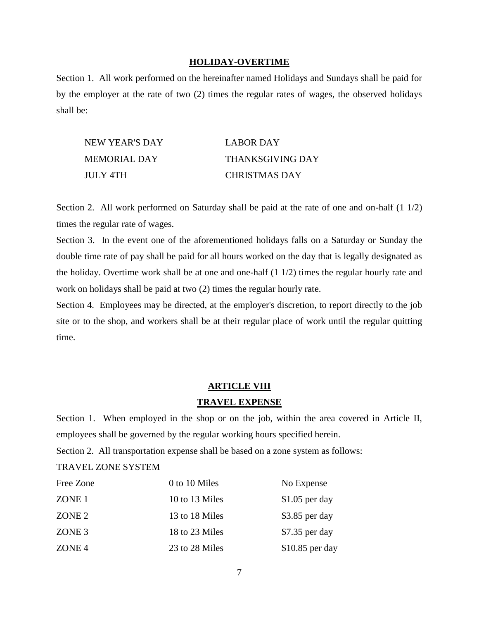#### **HOLIDAY-OVERTIME**

Section 1. All work performed on the hereinafter named Holidays and Sundays shall be paid for by the employer at the rate of two (2) times the regular rates of wages, the observed holidays shall be:

| NEW YEAR'S DAY | LABOR DAY               |
|----------------|-------------------------|
| MEMORIAL DAY   | <b>THANKSGIVING DAY</b> |
| JULY 4TH       | <b>CHRISTMAS DAY</b>    |

Section 2. All work performed on Saturday shall be paid at the rate of one and on-half  $(1\ 1/2)$ times the regular rate of wages.

Section 3. In the event one of the aforementioned holidays falls on a Saturday or Sunday the double time rate of pay shall be paid for all hours worked on the day that is legally designated as the holiday. Overtime work shall be at one and one-half (1 1/2) times the regular hourly rate and work on holidays shall be paid at two (2) times the regular hourly rate.

Section 4. Employees may be directed, at the employer's discretion, to report directly to the job site or to the shop, and workers shall be at their regular place of work until the regular quitting time.

#### **ARTICLE VIII**

#### **TRAVEL EXPENSE**

Section 1. When employed in the shop or on the job, within the area covered in Article II, employees shall be governed by the regular working hours specified herein.

Section 2. All transportation expense shall be based on a zone system as follows:

TRAVEL ZONE SYSTEM

| Free Zone         | 0 to 10 Miles  | No Expense       |
|-------------------|----------------|------------------|
| ZONE 1            | 10 to 13 Miles | $$1.05$ per day  |
| ZONE <sub>2</sub> | 13 to 18 Miles | $$3.85$ per day  |
| ZONE 3            | 18 to 23 Miles | $$7.35$ per day  |
| ZONE <sub>4</sub> | 23 to 28 Miles | $$10.85$ per day |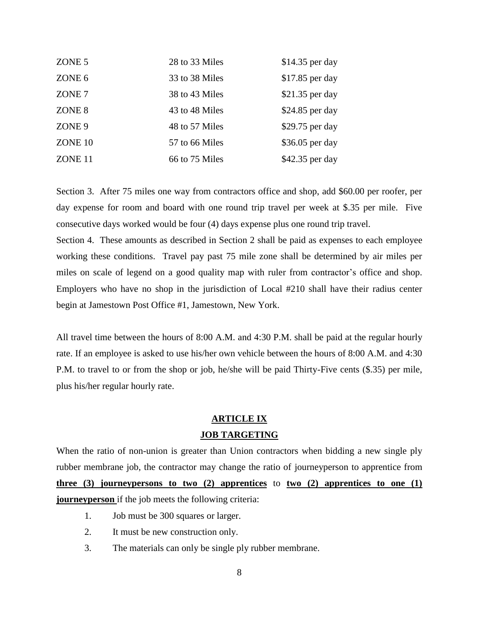| ZONE 5            | 28 to 33 Miles | $$14.35$ per day |
|-------------------|----------------|------------------|
| ZONE 6            | 33 to 38 Miles | \$17.85 per day  |
| ZONE 7            | 38 to 43 Miles | $$21.35$ per day |
| ZONE 8            | 43 to 48 Miles | $$24.85$ per day |
| ZONE <sub>9</sub> | 48 to 57 Miles | \$29.75 per day  |
| ZONE 10           | 57 to 66 Miles | $$36.05$ per day |
| ZONE 11           | 66 to 75 Miles | \$42.35 per day  |

Section 3. After 75 miles one way from contractors office and shop, add \$60.00 per roofer, per day expense for room and board with one round trip travel per week at \$.35 per mile. Five consecutive days worked would be four (4) days expense plus one round trip travel.

Section 4. These amounts as described in Section 2 shall be paid as expenses to each employee working these conditions. Travel pay past 75 mile zone shall be determined by air miles per miles on scale of legend on a good quality map with ruler from contractor's office and shop. Employers who have no shop in the jurisdiction of Local #210 shall have their radius center begin at Jamestown Post Office #1, Jamestown, New York.

All travel time between the hours of 8:00 A.M. and 4:30 P.M. shall be paid at the regular hourly rate. If an employee is asked to use his/her own vehicle between the hours of 8:00 A.M. and 4:30 P.M. to travel to or from the shop or job, he/she will be paid Thirty-Five cents (\$.35) per mile, plus his/her regular hourly rate.

# **ARTICLE IX**

#### **JOB TARGETING**

When the ratio of non-union is greater than Union contractors when bidding a new single ply rubber membrane job, the contractor may change the ratio of journeyperson to apprentice from **three (3) journeypersons to two (2) apprentices** to **two (2) apprentices to one (1) journeyperson** if the job meets the following criteria:

- 1. Job must be 300 squares or larger.
- 2. It must be new construction only.
- 3. The materials can only be single ply rubber membrane.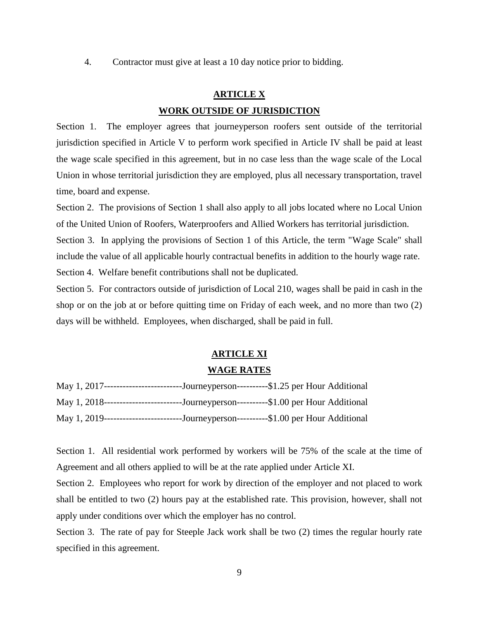4. Contractor must give at least a 10 day notice prior to bidding.

### **ARTICLE X WORK OUTSIDE OF JURISDICTION**

Section 1. The employer agrees that journeyperson roofers sent outside of the territorial jurisdiction specified in Article V to perform work specified in Article IV shall be paid at least the wage scale specified in this agreement, but in no case less than the wage scale of the Local Union in whose territorial jurisdiction they are employed, plus all necessary transportation, travel time, board and expense.

Section 2. The provisions of Section 1 shall also apply to all jobs located where no Local Union of the United Union of Roofers, Waterproofers and Allied Workers has territorial jurisdiction. Section 3. In applying the provisions of Section 1 of this Article, the term "Wage Scale" shall include the value of all applicable hourly contractual benefits in addition to the hourly wage rate. Section 4. Welfare benefit contributions shall not be duplicated.

Section 5. For contractors outside of jurisdiction of Local 210, wages shall be paid in cash in the shop or on the job at or before quitting time on Friday of each week, and no more than two (2) days will be withheld. Employees, when discharged, shall be paid in full.

#### **ARTICLE XI**

#### **WAGE RATES**

| May 1, 2017--------------------------Journeyperson----------\$1.25 per Hour Additional |                                                     |  |  |
|----------------------------------------------------------------------------------------|-----------------------------------------------------|--|--|
| May 1, 2018----------------------                                                      | --Journeyperson---------\$1.00 per Hour Additional  |  |  |
| May 1, 2019----<br>._____________.                                                     | --Journeyperson----------\$1.00 per Hour Additional |  |  |

Section 1. All residential work performed by workers will be 75% of the scale at the time of Agreement and all others applied to will be at the rate applied under Article XI.

Section 2. Employees who report for work by direction of the employer and not placed to work shall be entitled to two (2) hours pay at the established rate. This provision, however, shall not apply under conditions over which the employer has no control.

Section 3. The rate of pay for Steeple Jack work shall be two (2) times the regular hourly rate specified in this agreement.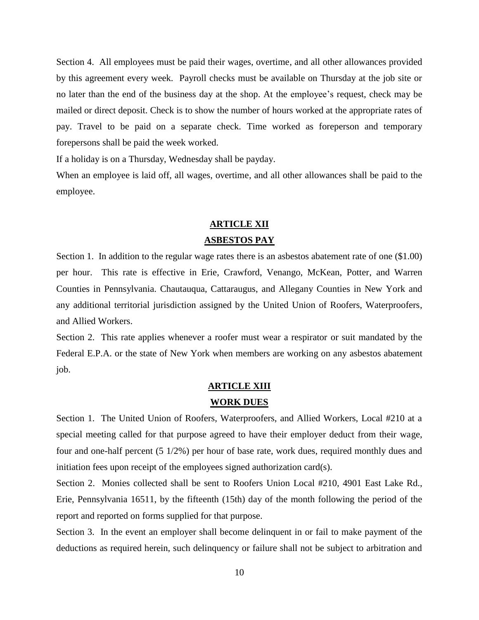Section 4. All employees must be paid their wages, overtime, and all other allowances provided by this agreement every week. Payroll checks must be available on Thursday at the job site or no later than the end of the business day at the shop. At the employee's request, check may be mailed or direct deposit. Check is to show the number of hours worked at the appropriate rates of pay. Travel to be paid on a separate check. Time worked as foreperson and temporary forepersons shall be paid the week worked.

If a holiday is on a Thursday, Wednesday shall be payday.

When an employee is laid off, all wages, overtime, and all other allowances shall be paid to the employee.

### **ARTICLE XII ASBESTOS PAY**

Section 1. In addition to the regular wage rates there is an asbestos abatement rate of one (\$1.00) per hour. This rate is effective in Erie, Crawford, Venango, McKean, Potter, and Warren Counties in Pennsylvania. Chautauqua, Cattaraugus, and Allegany Counties in New York and any additional territorial jurisdiction assigned by the United Union of Roofers, Waterproofers, and Allied Workers.

Section 2. This rate applies whenever a roofer must wear a respirator or suit mandated by the Federal E.P.A. or the state of New York when members are working on any asbestos abatement job.

#### **ARTICLE XIII**

#### **WORK DUES**

Section 1. The United Union of Roofers, Waterproofers, and Allied Workers, Local #210 at a special meeting called for that purpose agreed to have their employer deduct from their wage, four and one-half percent (5 1/2%) per hour of base rate, work dues, required monthly dues and initiation fees upon receipt of the employees signed authorization card(s).

Section 2. Monies collected shall be sent to Roofers Union Local #210, 4901 East Lake Rd., Erie, Pennsylvania 16511, by the fifteenth (15th) day of the month following the period of the report and reported on forms supplied for that purpose.

Section 3. In the event an employer shall become delinquent in or fail to make payment of the deductions as required herein, such delinquency or failure shall not be subject to arbitration and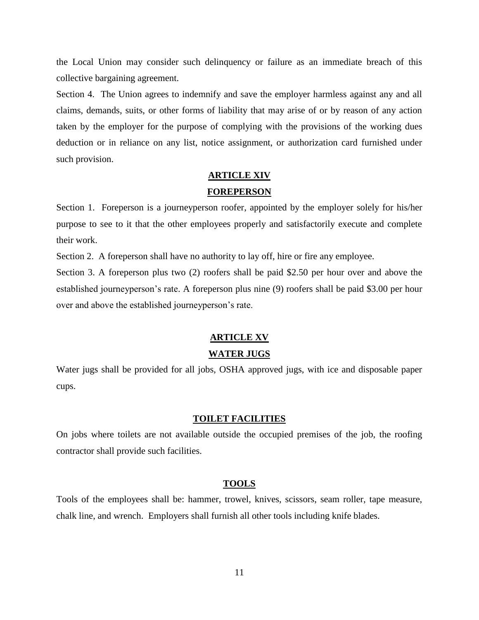the Local Union may consider such delinquency or failure as an immediate breach of this collective bargaining agreement.

Section 4. The Union agrees to indemnify and save the employer harmless against any and all claims, demands, suits, or other forms of liability that may arise of or by reason of any action taken by the employer for the purpose of complying with the provisions of the working dues deduction or in reliance on any list, notice assignment, or authorization card furnished under such provision.

### **ARTICLE XIV FOREPERSON**

Section 1. Foreperson is a journeyperson roofer, appointed by the employer solely for his/her purpose to see to it that the other employees properly and satisfactorily execute and complete their work.

Section 2. A foreperson shall have no authority to lay off, hire or fire any employee.

Section 3. A foreperson plus two (2) roofers shall be paid \$2.50 per hour over and above the established journeyperson's rate. A foreperson plus nine (9) roofers shall be paid \$3.00 per hour over and above the established journeyperson's rate.

### **ARTICLE XV**

#### **WATER JUGS**

Water jugs shall be provided for all jobs, OSHA approved jugs, with ice and disposable paper cups.

#### **TOILET FACILITIES**

On jobs where toilets are not available outside the occupied premises of the job, the roofing contractor shall provide such facilities.

#### **TOOLS**

Tools of the employees shall be: hammer, trowel, knives, scissors, seam roller, tape measure, chalk line, and wrench. Employers shall furnish all other tools including knife blades.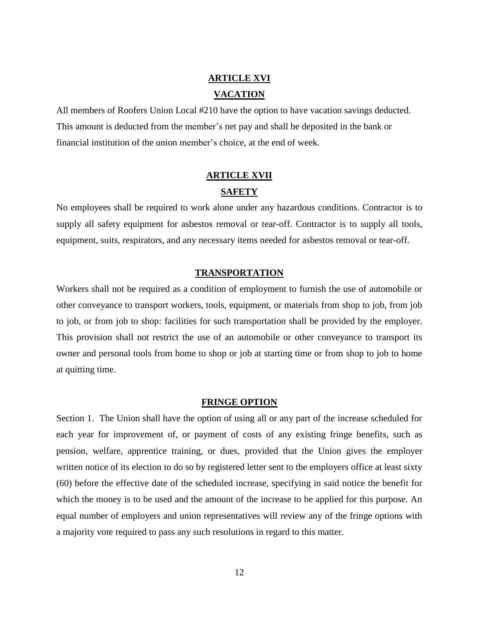### **ARTICLE XVI VACATION**

All members of Roofers Union Local #210 have the option to have vacation savings deducted. This amount is deducted from the member's net pay and shall be deposited in the bank or financial institution of the union member's choice, at the end of week.

### **ARTICLE XVII SAFETY**

No employees shall be required to work alone under any hazardous conditions. Contractor is to supply all safety equipment for asbestos removal or tear-off. Contractor is to supply all tools, equipment, suits, respirators, and any necessary items needed for asbestos removal or tear-off.

#### **TRANSPORTATION**

Workers shall not be required as a condition of employment to furnish the use of automobile or other conveyance to transport workers, tools, equipment, or materials from shop to job, from job to job, or from job to shop: facilities for such transportation shall be provided by the employer. This provision shall not restrict the use of an automobile or other conveyance to transport its owner and personal tools from home to shop or job at starting time or from shop to job to home at quitting time.

#### **FRINGE OPTION**

Section 1. The Union shall have the option of using all or any part of the increase scheduled for each year for improvement of, or payment of costs of any existing fringe benefits, such as pension, welfare, apprentice training, or dues, provided that the Union gives the employer written notice of its election to do so by registered letter sent to the employers office at least sixty (60) before the effective date of the scheduled increase, specifying in said notice the benefit for which the money is to be used and the amount of the increase to be applied for this purpose. An equal number of employers and union representatives will review any of the fringe options with a majority vote required to pass any such resolutions in regard to this matter.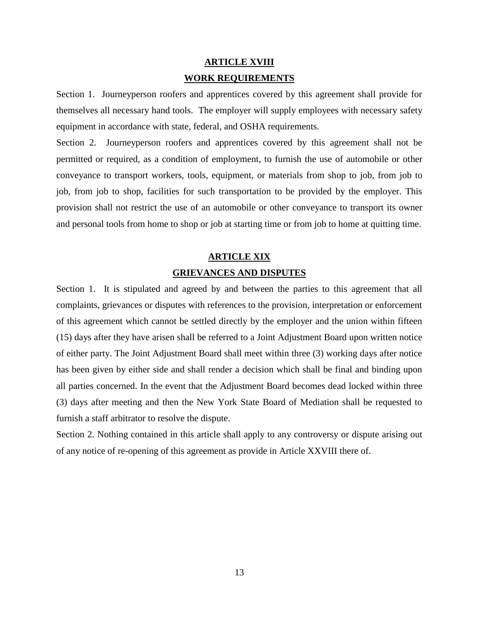### **ARTICLE XVIII WORK REQUIREMENTS**

Section 1. Journeyperson roofers and apprentices covered by this agreement shall provide for themselves all necessary hand tools. The employer will supply employees with necessary safety equipment in accordance with state, federal, and OSHA requirements.

Section 2. Journeyperson roofers and apprentices covered by this agreement shall not be permitted or required, as a condition of employment, to furnish the use of automobile or other conveyance to transport workers, tools, equipment, or materials from shop to job, from job to job, from job to shop, facilities for such transportation to be provided by the employer. This provision shall not restrict the use of an automobile or other conveyance to transport its owner and personal tools from home to shop or job at starting time or from job to home at quitting time.

### **ARTICLE XIX GRIEVANCES AND DISPUTES**

Section 1. It is stipulated and agreed by and between the parties to this agreement that all complaints, grievances or disputes with references to the provision, interpretation or enforcement of this agreement which cannot be settled directly by the employer and the union within fifteen (15) days after they have arisen shall be referred to a Joint Adjustment Board upon written notice of either party. The Joint Adjustment Board shall meet within three (3) working days after notice has been given by either side and shall render a decision which shall be final and binding upon all parties concerned. In the event that the Adjustment Board becomes dead locked within three (3) days after meeting and then the New York State Board of Mediation shall be requested to furnish a staff arbitrator to resolve the dispute.

Section 2. Nothing contained in this article shall apply to any controversy or dispute arising out of any notice of re-opening of this agreement as provide in Article XXVIII there of.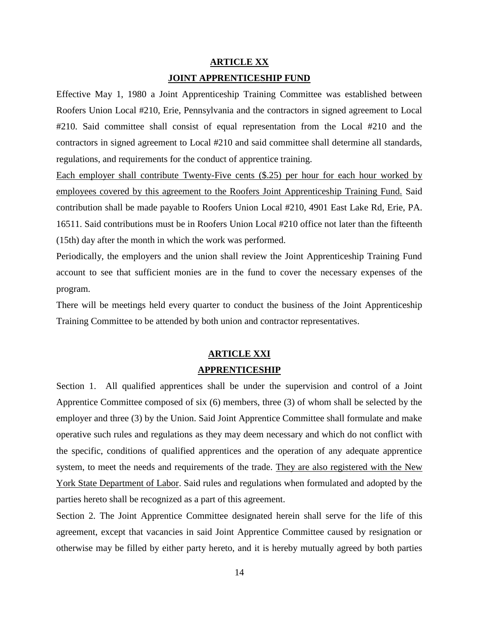### **ARTICLE XX JOINT APPRENTICESHIP FUND**

Effective May 1, 1980 a Joint Apprenticeship Training Committee was established between Roofers Union Local #210, Erie, Pennsylvania and the contractors in signed agreement to Local #210. Said committee shall consist of equal representation from the Local #210 and the contractors in signed agreement to Local #210 and said committee shall determine all standards, regulations, and requirements for the conduct of apprentice training.

Each employer shall contribute Twenty-Five cents  $(\$.25)$  per hour for each hour worked by employees covered by this agreement to the Roofers Joint Apprenticeship Training Fund. Said contribution shall be made payable to Roofers Union Local #210, 4901 East Lake Rd, Erie, PA. 16511. Said contributions must be in Roofers Union Local #210 office not later than the fifteenth (15th) day after the month in which the work was performed.

Periodically, the employers and the union shall review the Joint Apprenticeship Training Fund account to see that sufficient monies are in the fund to cover the necessary expenses of the program.

There will be meetings held every quarter to conduct the business of the Joint Apprenticeship Training Committee to be attended by both union and contractor representatives.

#### **ARTICLE XXI**

#### **APPRENTICESHIP**

Section 1. All qualified apprentices shall be under the supervision and control of a Joint Apprentice Committee composed of six (6) members, three (3) of whom shall be selected by the employer and three (3) by the Union. Said Joint Apprentice Committee shall formulate and make operative such rules and regulations as they may deem necessary and which do not conflict with the specific, conditions of qualified apprentices and the operation of any adequate apprentice system, to meet the needs and requirements of the trade. They are also registered with the New York State Department of Labor. Said rules and regulations when formulated and adopted by the parties hereto shall be recognized as a part of this agreement.

Section 2. The Joint Apprentice Committee designated herein shall serve for the life of this agreement, except that vacancies in said Joint Apprentice Committee caused by resignation or otherwise may be filled by either party hereto, and it is hereby mutually agreed by both parties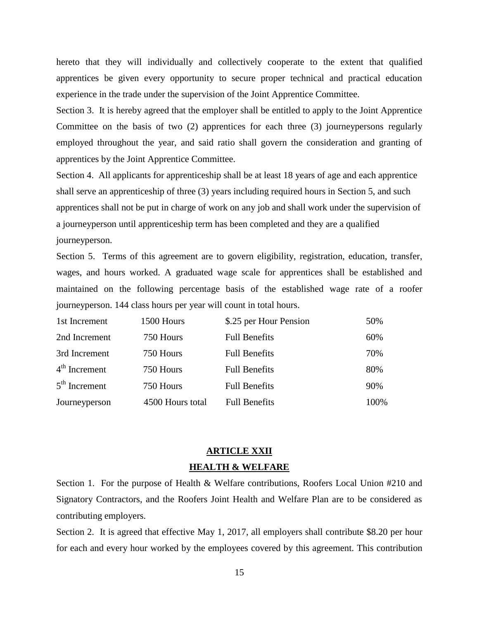hereto that they will individually and collectively cooperate to the extent that qualified apprentices be given every opportunity to secure proper technical and practical education experience in the trade under the supervision of the Joint Apprentice Committee.

Section 3. It is hereby agreed that the employer shall be entitled to apply to the Joint Apprentice Committee on the basis of two (2) apprentices for each three (3) journeypersons regularly employed throughout the year, and said ratio shall govern the consideration and granting of apprentices by the Joint Apprentice Committee.

Section 4. All applicants for apprenticeship shall be at least 18 years of age and each apprentice shall serve an apprenticeship of three (3) years including required hours in Section 5, and such apprentices shall not be put in charge of work on any job and shall work under the supervision of a journeyperson until apprenticeship term has been completed and they are a qualified journeyperson.

Section 5. Terms of this agreement are to govern eligibility, registration, education, transfer, wages, and hours worked. A graduated wage scale for apprentices shall be established and maintained on the following percentage basis of the established wage rate of a roofer journeyperson. 144 class hours per year will count in total hours.

| 1st Increment   | 1500 Hours       | \$.25 per Hour Pension | 50%  |
|-----------------|------------------|------------------------|------|
| 2nd Increment   | 750 Hours        | <b>Full Benefits</b>   | 60%  |
| 3rd Increment   | 750 Hours        | <b>Full Benefits</b>   | 70%  |
| $4th$ Increment | 750 Hours        | <b>Full Benefits</b>   | 80%  |
| $5th$ Increment | 750 Hours        | <b>Full Benefits</b>   | 90%  |
| Journeyperson   | 4500 Hours total | <b>Full Benefits</b>   | 100% |

### **ARTICLE XXII HEALTH & WELFARE**

Section 1. For the purpose of Health & Welfare contributions, Roofers Local Union #210 and Signatory Contractors, and the Roofers Joint Health and Welfare Plan are to be considered as contributing employers.

Section 2. It is agreed that effective May 1, 2017, all employers shall contribute \$8.20 per hour for each and every hour worked by the employees covered by this agreement. This contribution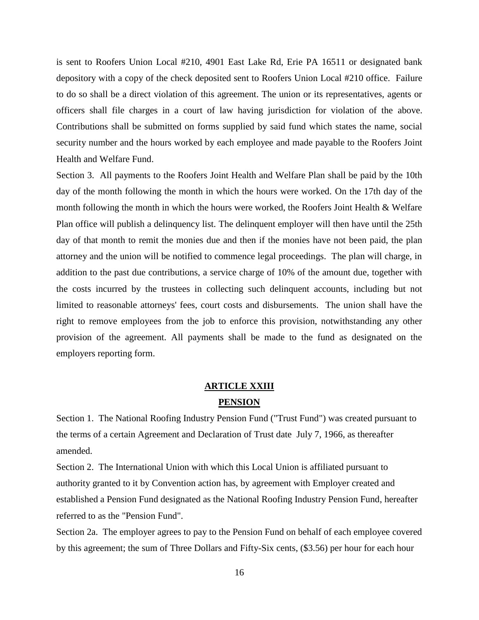is sent to Roofers Union Local #210, 4901 East Lake Rd, Erie PA 16511 or designated bank depository with a copy of the check deposited sent to Roofers Union Local #210 office. Failure to do so shall be a direct violation of this agreement. The union or its representatives, agents or officers shall file charges in a court of law having jurisdiction for violation of the above. Contributions shall be submitted on forms supplied by said fund which states the name, social security number and the hours worked by each employee and made payable to the Roofers Joint Health and Welfare Fund.

Section 3. All payments to the Roofers Joint Health and Welfare Plan shall be paid by the 10th day of the month following the month in which the hours were worked. On the 17th day of the month following the month in which the hours were worked, the Roofers Joint Health & Welfare Plan office will publish a delinquency list. The delinquent employer will then have until the 25th day of that month to remit the monies due and then if the monies have not been paid, the plan attorney and the union will be notified to commence legal proceedings. The plan will charge, in addition to the past due contributions, a service charge of 10% of the amount due, together with the costs incurred by the trustees in collecting such delinquent accounts, including but not limited to reasonable attorneys' fees, court costs and disbursements. The union shall have the right to remove employees from the job to enforce this provision, notwithstanding any other provision of the agreement. All payments shall be made to the fund as designated on the employers reporting form.

#### **ARTICLE XXIII**

#### **PENSION**

Section 1. The National Roofing Industry Pension Fund ("Trust Fund") was created pursuant to the terms of a certain Agreement and Declaration of Trust date July 7, 1966, as thereafter amended.

Section 2. The International Union with which this Local Union is affiliated pursuant to authority granted to it by Convention action has, by agreement with Employer created and established a Pension Fund designated as the National Roofing Industry Pension Fund, hereafter referred to as the "Pension Fund".

Section 2a. The employer agrees to pay to the Pension Fund on behalf of each employee covered by this agreement; the sum of Three Dollars and Fifty-Six cents, (\$3.56) per hour for each hour

16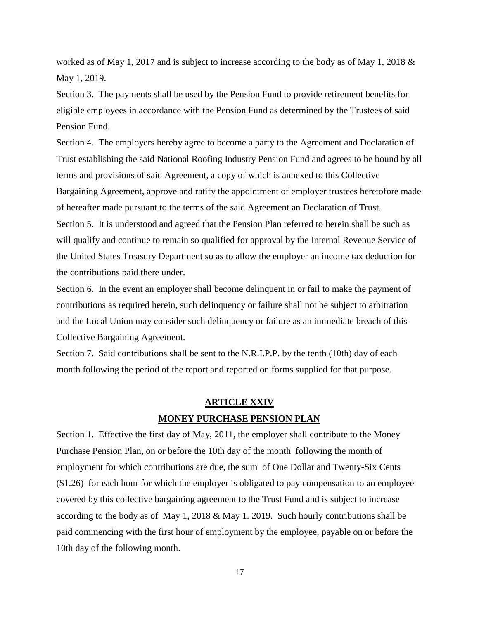worked as of May 1, 2017 and is subject to increase according to the body as of May 1, 2018 & May 1, 2019.

Section 3. The payments shall be used by the Pension Fund to provide retirement benefits for eligible employees in accordance with the Pension Fund as determined by the Trustees of said Pension Fund.

Section 4. The employers hereby agree to become a party to the Agreement and Declaration of Trust establishing the said National Roofing Industry Pension Fund and agrees to be bound by all terms and provisions of said Agreement, a copy of which is annexed to this Collective Bargaining Agreement, approve and ratify the appointment of employer trustees heretofore made of hereafter made pursuant to the terms of the said Agreement an Declaration of Trust.

Section 5. It is understood and agreed that the Pension Plan referred to herein shall be such as will qualify and continue to remain so qualified for approval by the Internal Revenue Service of the United States Treasury Department so as to allow the employer an income tax deduction for the contributions paid there under.

Section 6. In the event an employer shall become delinquent in or fail to make the payment of contributions as required herein, such delinquency or failure shall not be subject to arbitration and the Local Union may consider such delinquency or failure as an immediate breach of this Collective Bargaining Agreement.

Section 7. Said contributions shall be sent to the N.R.I.P.P. by the tenth (10th) day of each month following the period of the report and reported on forms supplied for that purpose.

### **ARTICLE XXIV MONEY PURCHASE PENSION PLAN**

Section 1. Effective the first day of May, 2011, the employer shall contribute to the Money Purchase Pension Plan, on or before the 10th day of the month following the month of employment for which contributions are due, the sum of One Dollar and Twenty-Six Cents (\$1.26) for each hour for which the employer is obligated to pay compensation to an employee covered by this collective bargaining agreement to the Trust Fund and is subject to increase according to the body as of May 1, 2018 & May 1. 2019. Such hourly contributions shall be paid commencing with the first hour of employment by the employee, payable on or before the 10th day of the following month.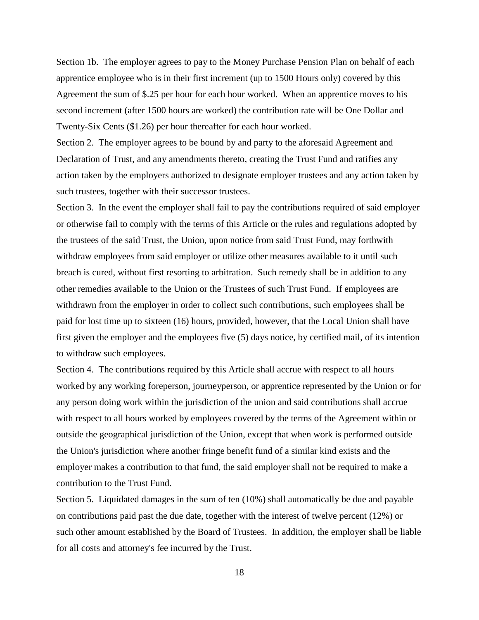Section 1b. The employer agrees to pay to the Money Purchase Pension Plan on behalf of each apprentice employee who is in their first increment (up to 1500 Hours only) covered by this Agreement the sum of \$.25 per hour for each hour worked. When an apprentice moves to his second increment (after 1500 hours are worked) the contribution rate will be One Dollar and Twenty-Six Cents (\$1.26) per hour thereafter for each hour worked.

Section 2. The employer agrees to be bound by and party to the aforesaid Agreement and Declaration of Trust, and any amendments thereto, creating the Trust Fund and ratifies any action taken by the employers authorized to designate employer trustees and any action taken by such trustees, together with their successor trustees.

Section 3. In the event the employer shall fail to pay the contributions required of said employer or otherwise fail to comply with the terms of this Article or the rules and regulations adopted by the trustees of the said Trust, the Union, upon notice from said Trust Fund, may forthwith withdraw employees from said employer or utilize other measures available to it until such breach is cured, without first resorting to arbitration. Such remedy shall be in addition to any other remedies available to the Union or the Trustees of such Trust Fund. If employees are withdrawn from the employer in order to collect such contributions, such employees shall be paid for lost time up to sixteen (16) hours, provided, however, that the Local Union shall have first given the employer and the employees five (5) days notice, by certified mail, of its intention to withdraw such employees.

Section 4. The contributions required by this Article shall accrue with respect to all hours worked by any working foreperson, journeyperson, or apprentice represented by the Union or for any person doing work within the jurisdiction of the union and said contributions shall accrue with respect to all hours worked by employees covered by the terms of the Agreement within or outside the geographical jurisdiction of the Union, except that when work is performed outside the Union's jurisdiction where another fringe benefit fund of a similar kind exists and the employer makes a contribution to that fund, the said employer shall not be required to make a contribution to the Trust Fund.

Section 5. Liquidated damages in the sum of ten (10%) shall automatically be due and payable on contributions paid past the due date, together with the interest of twelve percent (12%) or such other amount established by the Board of Trustees. In addition, the employer shall be liable for all costs and attorney's fee incurred by the Trust.

18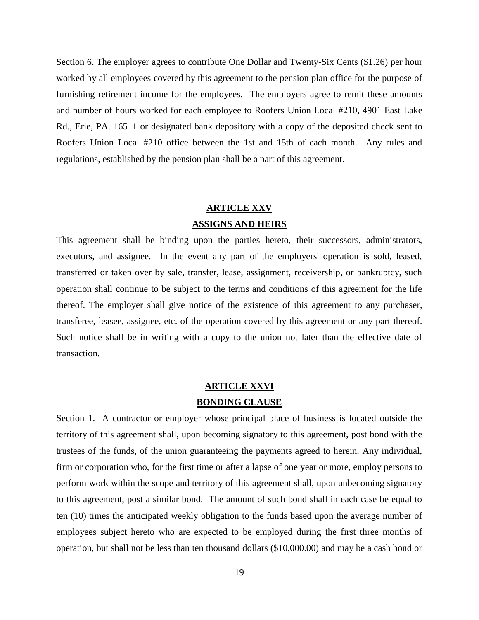Section 6. The employer agrees to contribute One Dollar and Twenty-Six Cents (\$1.26) per hour worked by all employees covered by this agreement to the pension plan office for the purpose of furnishing retirement income for the employees. The employers agree to remit these amounts and number of hours worked for each employee to Roofers Union Local #210, 4901 East Lake Rd., Erie, PA. 16511 or designated bank depository with a copy of the deposited check sent to Roofers Union Local #210 office between the 1st and 15th of each month. Any rules and regulations, established by the pension plan shall be a part of this agreement.

### **ARTICLE XXV ASSIGNS AND HEIRS**

This agreement shall be binding upon the parties hereto, their successors, administrators, executors, and assignee. In the event any part of the employers' operation is sold, leased, transferred or taken over by sale, transfer, lease, assignment, receivership, or bankruptcy, such operation shall continue to be subject to the terms and conditions of this agreement for the life thereof. The employer shall give notice of the existence of this agreement to any purchaser, transferee, leasee, assignee, etc. of the operation covered by this agreement or any part thereof. Such notice shall be in writing with a copy to the union not later than the effective date of transaction.

### **ARTICLE XXVI BONDING CLAUSE**

Section 1. A contractor or employer whose principal place of business is located outside the territory of this agreement shall, upon becoming signatory to this agreement, post bond with the trustees of the funds, of the union guaranteeing the payments agreed to herein. Any individual, firm or corporation who, for the first time or after a lapse of one year or more, employ persons to perform work within the scope and territory of this agreement shall, upon unbecoming signatory to this agreement, post a similar bond. The amount of such bond shall in each case be equal to ten (10) times the anticipated weekly obligation to the funds based upon the average number of employees subject hereto who are expected to be employed during the first three months of operation, but shall not be less than ten thousand dollars (\$10,000.00) and may be a cash bond or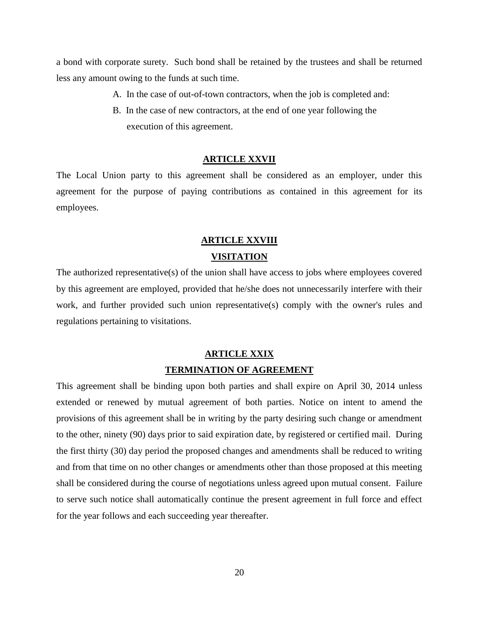a bond with corporate surety. Such bond shall be retained by the trustees and shall be returned less any amount owing to the funds at such time.

- A. In the case of out-of-town contractors, when the job is completed and:
- B. In the case of new contractors, at the end of one year following the execution of this agreement.

#### **ARTICLE XXVII**

The Local Union party to this agreement shall be considered as an employer, under this agreement for the purpose of paying contributions as contained in this agreement for its employees.

#### **ARTICLE XXVIII**

#### **VISITATION**

The authorized representative(s) of the union shall have access to jobs where employees covered by this agreement are employed, provided that he/she does not unnecessarily interfere with their work, and further provided such union representative(s) comply with the owner's rules and regulations pertaining to visitations.

#### **ARTICLE XXIX**

#### **TERMINATION OF AGREEMENT**

This agreement shall be binding upon both parties and shall expire on April 30, 2014 unless extended or renewed by mutual agreement of both parties. Notice on intent to amend the provisions of this agreement shall be in writing by the party desiring such change or amendment to the other, ninety (90) days prior to said expiration date, by registered or certified mail. During the first thirty (30) day period the proposed changes and amendments shall be reduced to writing and from that time on no other changes or amendments other than those proposed at this meeting shall be considered during the course of negotiations unless agreed upon mutual consent. Failure to serve such notice shall automatically continue the present agreement in full force and effect for the year follows and each succeeding year thereafter.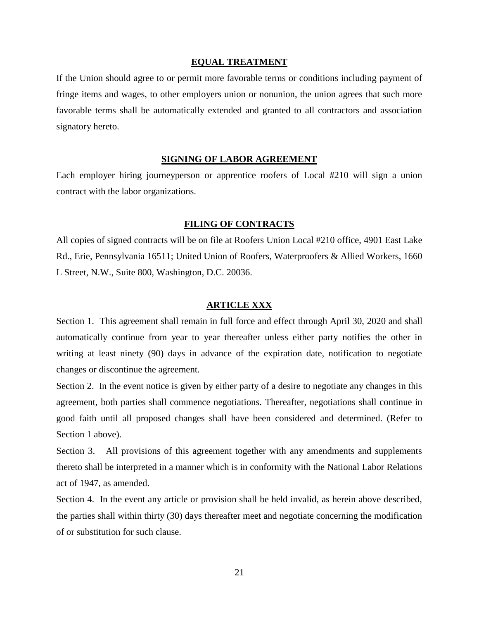#### **EQUAL TREATMENT**

If the Union should agree to or permit more favorable terms or conditions including payment of fringe items and wages, to other employers union or nonunion, the union agrees that such more favorable terms shall be automatically extended and granted to all contractors and association signatory hereto.

#### **SIGNING OF LABOR AGREEMENT**

Each employer hiring journeyperson or apprentice roofers of Local #210 will sign a union contract with the labor organizations.

#### **FILING OF CONTRACTS**

All copies of signed contracts will be on file at Roofers Union Local #210 office, 4901 East Lake Rd., Erie, Pennsylvania 16511; United Union of Roofers, Waterproofers & Allied Workers, 1660 L Street, N.W., Suite 800, Washington, D.C. 20036.

#### **ARTICLE XXX**

Section 1. This agreement shall remain in full force and effect through April 30, 2020 and shall automatically continue from year to year thereafter unless either party notifies the other in writing at least ninety (90) days in advance of the expiration date, notification to negotiate changes or discontinue the agreement.

Section 2. In the event notice is given by either party of a desire to negotiate any changes in this agreement, both parties shall commence negotiations. Thereafter, negotiations shall continue in good faith until all proposed changes shall have been considered and determined. (Refer to Section 1 above).

Section 3. All provisions of this agreement together with any amendments and supplements thereto shall be interpreted in a manner which is in conformity with the National Labor Relations act of 1947, as amended.

Section 4. In the event any article or provision shall be held invalid, as herein above described, the parties shall within thirty (30) days thereafter meet and negotiate concerning the modification of or substitution for such clause.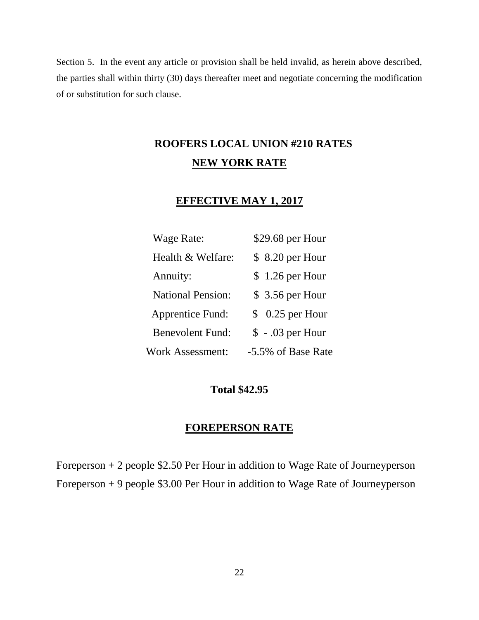Section 5. In the event any article or provision shall be held invalid, as herein above described, the parties shall within thirty (30) days thereafter meet and negotiate concerning the modification of or substitution for such clause.

## **ROOFERS LOCAL UNION #210 RATES NEW YORK RATE**

### **EFFECTIVE MAY 1, 2017**

| Wage Rate:               | \$29.68 per Hour              |
|--------------------------|-------------------------------|
| Health & Welfare:        | \$ 8.20 per Hour              |
| Annuity:                 | $$1.26$ per Hour              |
| <b>National Pension:</b> | $$3.56$ per Hour              |
| <b>Apprentice Fund:</b>  | 0.25 per Hour<br>$\mathbb{S}$ |
| <b>Benevolent Fund:</b>  | $$-.03$ per Hour              |
| <b>Work Assessment:</b>  | -5.5% of Base Rate            |

#### **Total \$42.95**

### **FOREPERSON RATE**

Foreperson + 2 people \$2.50 Per Hour in addition to Wage Rate of Journeyperson Foreperson + 9 people \$3.00 Per Hour in addition to Wage Rate of Journeyperson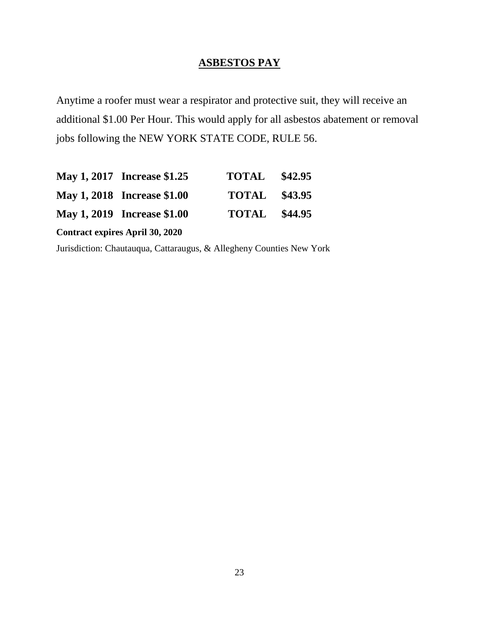### **ASBESTOS PAY**

Anytime a roofer must wear a respirator and protective suit, they will receive an additional \$1.00 Per Hour. This would apply for all asbestos abatement or removal jobs following the NEW YORK STATE CODE, RULE 56.

|                                        | May 1, 2017 Increase \$1.25 | <b>TOTAL</b> \$42.95 |  |  |
|----------------------------------------|-----------------------------|----------------------|--|--|
|                                        | May 1, 2018 Increase \$1.00 | <b>TOTAL</b> \$43.95 |  |  |
|                                        | May 1, 2019 Increase \$1.00 | <b>TOTAL</b> \$44.95 |  |  |
| <b>Contract expires April 30, 2020</b> |                             |                      |  |  |

Jurisdiction: Chautauqua, Cattaraugus, & Allegheny Counties New York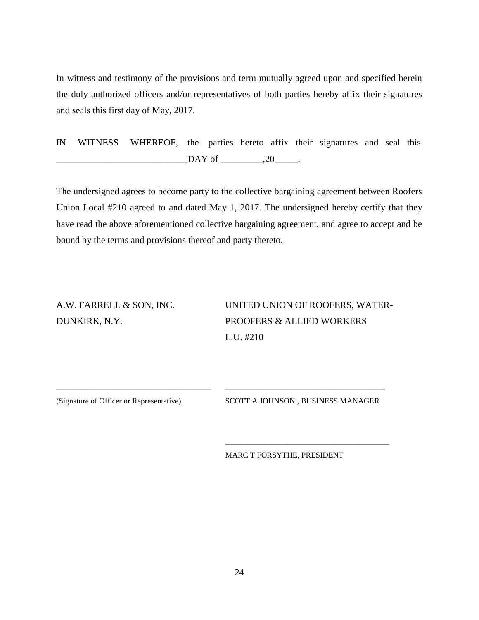In witness and testimony of the provisions and term mutually agreed upon and specified herein the duly authorized officers and/or representatives of both parties hereby affix their signatures and seals this first day of May, 2017.

IN WITNESS WHEREOF, the parties hereto affix their signatures and seal this  $\Box$ DAY of  $\_\_\_\_\_$ , 20 $\_\_\_\_\_\.\$ 

The undersigned agrees to become party to the collective bargaining agreement between Roofers Union Local #210 agreed to and dated May 1, 2017. The undersigned hereby certify that they have read the above aforementioned collective bargaining agreement, and agree to accept and be bound by the terms and provisions thereof and party thereto.

\_\_\_\_\_\_\_\_\_\_\_\_\_\_\_\_\_\_\_\_\_\_\_\_\_\_\_\_\_\_\_\_\_ \_\_\_\_\_\_\_\_\_\_\_\_\_\_\_\_\_\_\_\_\_\_\_\_\_\_\_\_\_\_\_\_\_\_

A.W. FARRELL & SON, INC. UNITED UNION OF ROOFERS, WATER-DUNKIRK, N.Y. PROOFERS & ALLIED WORKERS L.U. #210

(Signature of Officer or Representative) SCOTT A JOHNSON., BUSINESS MANAGER

\_\_\_\_\_\_\_\_\_\_\_\_\_\_\_\_\_\_\_\_\_\_\_\_\_\_\_\_\_\_\_\_\_\_\_\_\_\_\_\_\_\_

MARC T FORSYTHE, PRESIDENT